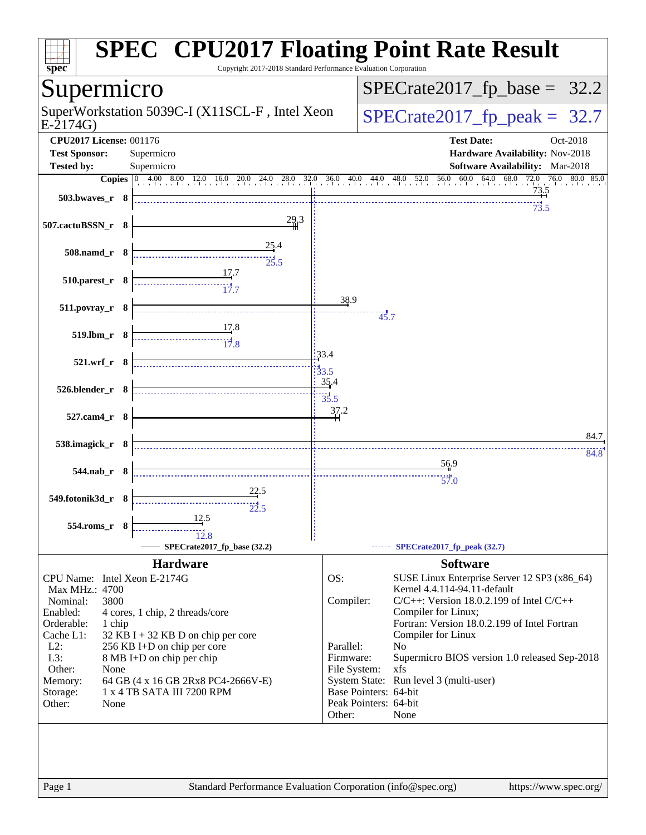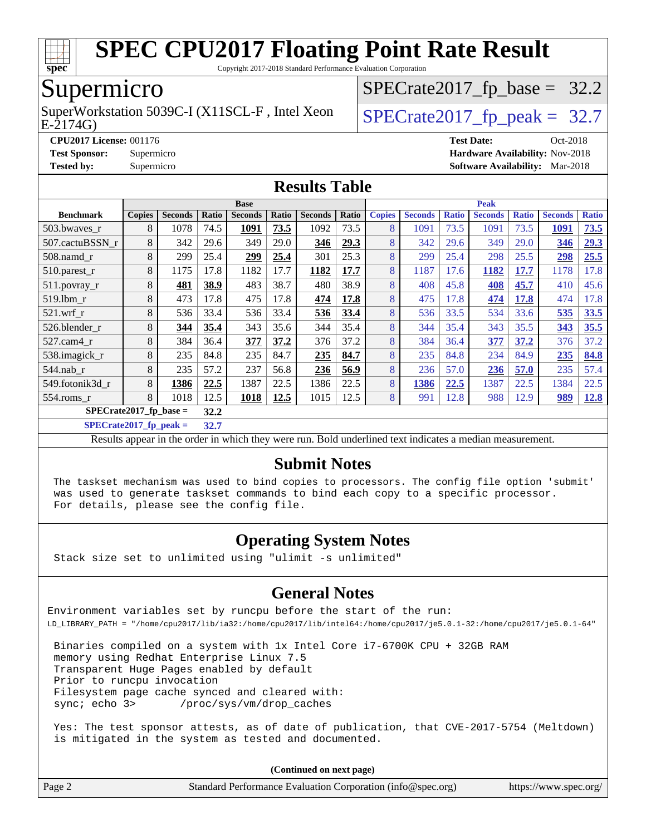

Copyright 2017-2018 Standard Performance Evaluation Corporation

### Supermicro

E-2174G) SuperWorkstation 5039C-I (X11SCL-F, Intel Xeon  $\big|$  [SPECrate2017\\_fp\\_peak =](http://www.spec.org/auto/cpu2017/Docs/result-fields.html#SPECrate2017fppeak) 32.7

 $SPECTate2017_fp\_base = 32.2$ 

**[CPU2017 License:](http://www.spec.org/auto/cpu2017/Docs/result-fields.html#CPU2017License)** 001176 **[Test Date:](http://www.spec.org/auto/cpu2017/Docs/result-fields.html#TestDate)** Oct-2018

**[Test Sponsor:](http://www.spec.org/auto/cpu2017/Docs/result-fields.html#TestSponsor)** Supermicro **[Hardware Availability:](http://www.spec.org/auto/cpu2017/Docs/result-fields.html#HardwareAvailability)** Nov-2018

**[Tested by:](http://www.spec.org/auto/cpu2017/Docs/result-fields.html#Testedby)** Supermicro **[Software Availability:](http://www.spec.org/auto/cpu2017/Docs/result-fields.html#SoftwareAvailability)** Mar-2018

#### **[Results Table](http://www.spec.org/auto/cpu2017/Docs/result-fields.html#ResultsTable)**

|                           | <b>Base</b>   |                |       |                |       | <b>Peak</b>    |       |               |                |              |                |              |                |              |
|---------------------------|---------------|----------------|-------|----------------|-------|----------------|-------|---------------|----------------|--------------|----------------|--------------|----------------|--------------|
| <b>Benchmark</b>          | <b>Copies</b> | <b>Seconds</b> | Ratio | <b>Seconds</b> | Ratio | <b>Seconds</b> | Ratio | <b>Copies</b> | <b>Seconds</b> | <b>Ratio</b> | <b>Seconds</b> | <b>Ratio</b> | <b>Seconds</b> | <b>Ratio</b> |
| 503.bwaves_r              | 8             | 1078           | 74.5  | 1091           | 73.5  | 1092           | 73.5  | 8             | 1091           | 73.5         | 1091           | 73.5         | 1091           | 73.5         |
| 507.cactuBSSN r           | 8             | 342            | 29.6  | 349            | 29.0  | 346            | 29.3  | 8             | 342            | 29.6         | 349            | 29.0         | 346            | 29.3         |
| $508$ .namd $r$           | 8             | 299            | 25.4  | 299            | 25.4  | 301            | 25.3  | 8             | 299            | 25.4         | 298            | 25.5         | 298            | 25.5         |
| 510.parest_r              | 8             | 1175           | 17.8  | 1182           | 17.7  | 1182           | 17.7  | 8             | 1187           | 17.6         | 1182           | 17.7         | 1178           | 17.8         |
| 511.povray_r              | 8             | 481            | 38.9  | 483            | 38.7  | 480            | 38.9  | 8             | 408            | 45.8         | 408            | 45.7         | 410            | 45.6         |
| 519.1bm r                 | 8             | 473            | 17.8  | 475            | 17.8  | 474            | 17.8  | 8             | 475            | 17.8         | 474            | 17.8         | 474            | 17.8         |
| 521.wrf                   | 8             | 536            | 33.4  | 536            | 33.4  | 536            | 33.4  | 8             | 536            | 33.5         | 534            | 33.6         | 535            | 33.5         |
| 526.blender r             | 8             | 344            | 35.4  | 343            | 35.6  | 344            | 35.4  | 8             | 344            | 35.4         | 343            | 35.5         | 343            | 35.5         |
| $527.cam4_r$              | 8             | 384            | 36.4  | 377            | 37.2  | 376            | 37.2  | 8             | 384            | 36.4         | 377            | 37.2         | 376            | 37.2         |
| 538.imagick_r             | 8             | 235            | 84.8  | 235            | 84.7  | 235            | 84.7  | 8             | 235            | 84.8         | 234            | 84.9         | 235            | 84.8         |
| $544$ .nab r              | 8             | 235            | 57.2  | 237            | 56.8  | 236            | 56.9  | 8             | 236            | 57.0         | 236            | 57.0         | 235            | 57.4         |
| 549.fotonik3d r           | 8             | 1386           | 22.5  | 1387           | 22.5  | 1386           | 22.5  | 8             | 1386           | 22.5         | 1387           | 22.5         | 1384           | 22.5         |
| $554$ .roms $r$           | 8             | 1018           | 12.5  | 1018           | 12.5  | 1015           | 12.5  | 8             | 991            | 12.8         | 988            | 12.9         | 989            | 12.8         |
| $SPECrate2017_fp\_base =$ |               |                |       |                |       |                |       |               |                |              |                |              |                |              |

**[SPECrate2017\\_fp\\_peak =](http://www.spec.org/auto/cpu2017/Docs/result-fields.html#SPECrate2017fppeak) 32.7**

Results appear in the [order in which they were run](http://www.spec.org/auto/cpu2017/Docs/result-fields.html#RunOrder). Bold underlined text [indicates a median measurement](http://www.spec.org/auto/cpu2017/Docs/result-fields.html#Median).

#### **[Submit Notes](http://www.spec.org/auto/cpu2017/Docs/result-fields.html#SubmitNotes)**

 The taskset mechanism was used to bind copies to processors. The config file option 'submit' was used to generate taskset commands to bind each copy to a specific processor. For details, please see the config file.

#### **[Operating System Notes](http://www.spec.org/auto/cpu2017/Docs/result-fields.html#OperatingSystemNotes)**

Stack size set to unlimited using "ulimit -s unlimited"

#### **[General Notes](http://www.spec.org/auto/cpu2017/Docs/result-fields.html#GeneralNotes)**

Environment variables set by runcpu before the start of the run: LD\_LIBRARY\_PATH = "/home/cpu2017/lib/ia32:/home/cpu2017/lib/intel64:/home/cpu2017/je5.0.1-32:/home/cpu2017/je5.0.1-64"

 Binaries compiled on a system with 1x Intel Core i7-6700K CPU + 32GB RAM memory using Redhat Enterprise Linux 7.5 Transparent Huge Pages enabled by default Prior to runcpu invocation Filesystem page cache synced and cleared with: sync; echo 3> /proc/sys/vm/drop\_caches

 Yes: The test sponsor attests, as of date of publication, that CVE-2017-5754 (Meltdown) is mitigated in the system as tested and documented.

| Page 2 | Standard Performance Evaluation Corporation (info@spec.org) | https://www.spec.org/ |
|--------|-------------------------------------------------------------|-----------------------|
|--------|-------------------------------------------------------------|-----------------------|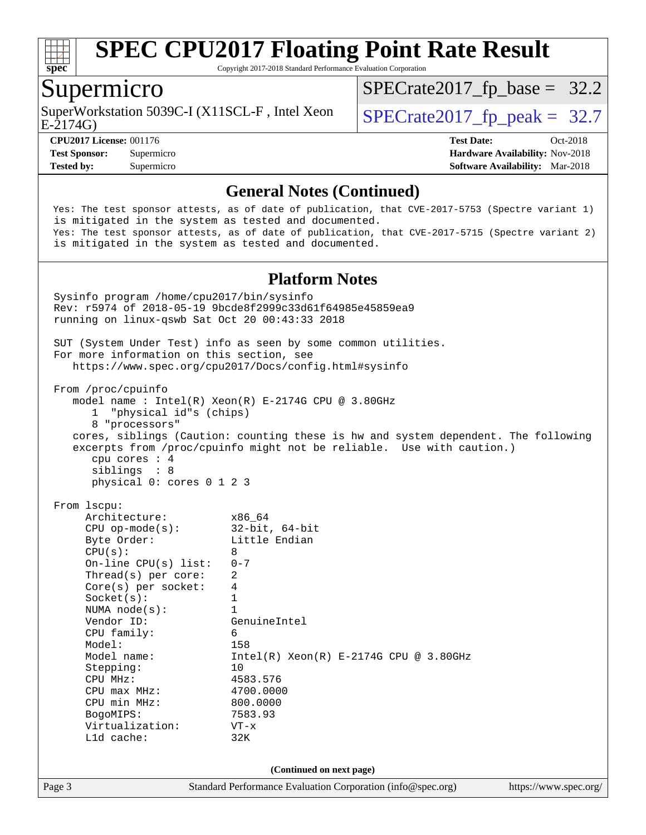

Copyright 2017-2018 Standard Performance Evaluation Corporation

#### Supermicro

SuperWorkstation 5039C-I (X11SCL-F, Intel Xeon  $\big|$  [SPECrate2017\\_fp\\_peak =](http://www.spec.org/auto/cpu2017/Docs/result-fields.html#SPECrate2017fppeak) 32.7

 $SPECTate2017_fp\_base = 32.2$ 

E-2174G)

**[Tested by:](http://www.spec.org/auto/cpu2017/Docs/result-fields.html#Testedby)** Supermicro **[Software Availability:](http://www.spec.org/auto/cpu2017/Docs/result-fields.html#SoftwareAvailability)** Mar-2018

**[CPU2017 License:](http://www.spec.org/auto/cpu2017/Docs/result-fields.html#CPU2017License)** 001176 **[Test Date:](http://www.spec.org/auto/cpu2017/Docs/result-fields.html#TestDate)** Oct-2018 **[Test Sponsor:](http://www.spec.org/auto/cpu2017/Docs/result-fields.html#TestSponsor)** Supermicro **[Hardware Availability:](http://www.spec.org/auto/cpu2017/Docs/result-fields.html#HardwareAvailability)** Nov-2018

#### **[General Notes \(Continued\)](http://www.spec.org/auto/cpu2017/Docs/result-fields.html#GeneralNotes)**

 Yes: The test sponsor attests, as of date of publication, that CVE-2017-5753 (Spectre variant 1) is mitigated in the system as tested and documented. Yes: The test sponsor attests, as of date of publication, that CVE-2017-5715 (Spectre variant 2) is mitigated in the system as tested and documented.

#### **[Platform Notes](http://www.spec.org/auto/cpu2017/Docs/result-fields.html#PlatformNotes)**

Page 3 Standard Performance Evaluation Corporation [\(info@spec.org\)](mailto:info@spec.org) <https://www.spec.org/> Sysinfo program /home/cpu2017/bin/sysinfo Rev: r5974 of 2018-05-19 9bcde8f2999c33d61f64985e45859ea9 running on linux-qswb Sat Oct 20 00:43:33 2018 SUT (System Under Test) info as seen by some common utilities. For more information on this section, see <https://www.spec.org/cpu2017/Docs/config.html#sysinfo> From /proc/cpuinfo model name : Intel(R) Xeon(R) E-2174G CPU @ 3.80GHz 1 "physical id"s (chips) 8 "processors" cores, siblings (Caution: counting these is hw and system dependent. The following excerpts from /proc/cpuinfo might not be reliable. Use with caution.) cpu cores : 4 siblings : 8 physical 0: cores 0 1 2 3 From lscpu: Architecture: x86\_64 CPU op-mode(s): 32-bit, 64-bit Byte Order: Little Endian  $CPU(s):$  8 On-line CPU(s) list: 0-7 Thread(s) per core: 2 Core(s) per socket: 4  $Sockets(s):$  1 NUMA node(s): 1 Vendor ID: GenuineIntel CPU family: 6 Model: 158 Model name:  $Intel(R)$  Xeon(R) E-2174G CPU @ 3.80GHz Stepping: 10 CPU MHz: 4583.576 CPU max MHz: 4700.0000 CPU min MHz: 800.0000 BogoMIPS: 7583.93 Virtualization: VT-x L1d cache: 32K **(Continued on next page)**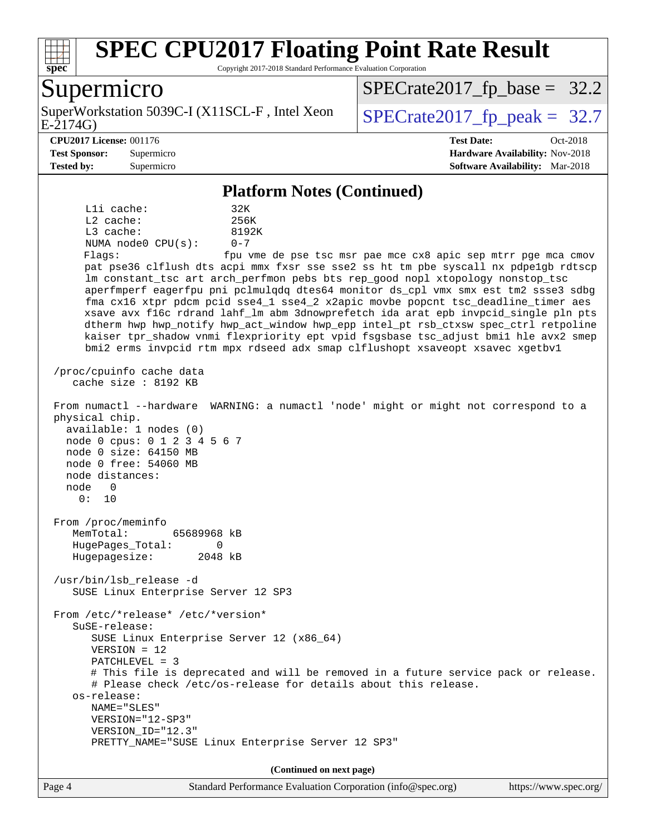

Copyright 2017-2018 Standard Performance Evaluation Corporation

### Supermicro

E-2174G) SuperWorkstation 5039C-I (X11SCL-F, Intel Xeon  $\big|$  [SPECrate2017\\_fp\\_peak =](http://www.spec.org/auto/cpu2017/Docs/result-fields.html#SPECrate2017fppeak) 32.7

 $SPECTate2017_fp\_base = 32.2$ 

**[Tested by:](http://www.spec.org/auto/cpu2017/Docs/result-fields.html#Testedby)** Supermicro **[Software Availability:](http://www.spec.org/auto/cpu2017/Docs/result-fields.html#SoftwareAvailability)** Mar-2018

**[CPU2017 License:](http://www.spec.org/auto/cpu2017/Docs/result-fields.html#CPU2017License)** 001176 **[Test Date:](http://www.spec.org/auto/cpu2017/Docs/result-fields.html#TestDate)** Oct-2018 **[Test Sponsor:](http://www.spec.org/auto/cpu2017/Docs/result-fields.html#TestSponsor)** Supermicro **[Hardware Availability:](http://www.spec.org/auto/cpu2017/Docs/result-fields.html#HardwareAvailability)** Nov-2018

#### **[Platform Notes \(Continued\)](http://www.spec.org/auto/cpu2017/Docs/result-fields.html#PlatformNotes)**

L1i cache: 32K L2 cache: 256K L3 cache: 8192K NUMA node0 CPU(s): 0-7 Flags: fpu vme de pse tsc msr pae mce cx8 apic sep mtrr pge mca cmov

 pat pse36 clflush dts acpi mmx fxsr sse sse2 ss ht tm pbe syscall nx pdpe1gb rdtscp lm constant\_tsc art arch\_perfmon pebs bts rep\_good nopl xtopology nonstop\_tsc aperfmperf eagerfpu pni pclmulqdq dtes64 monitor ds\_cpl vmx smx est tm2 ssse3 sdbg fma cx16 xtpr pdcm pcid sse4\_1 sse4\_2 x2apic movbe popcnt tsc\_deadline\_timer aes xsave avx f16c rdrand lahf\_lm abm 3dnowprefetch ida arat epb invpcid\_single pln pts dtherm hwp hwp\_notify hwp\_act\_window hwp\_epp intel\_pt rsb\_ctxsw spec\_ctrl retpoline kaiser tpr\_shadow vnmi flexpriority ept vpid fsgsbase tsc\_adjust bmi1 hle avx2 smep bmi2 erms invpcid rtm mpx rdseed adx smap clflushopt xsaveopt xsavec xgetbv1

 /proc/cpuinfo cache data cache size : 8192 KB

 From numactl --hardware WARNING: a numactl 'node' might or might not correspond to a physical chip.

 available: 1 nodes (0) node 0 cpus: 0 1 2 3 4 5 6 7 node 0 size: 64150 MB node 0 free: 54060 MB node distances: node 0 0: 10

 From /proc/meminfo MemTotal: 65689968 kB HugePages\_Total: 0 Hugepagesize: 2048 kB

 /usr/bin/lsb\_release -d SUSE Linux Enterprise Server 12 SP3

 From /etc/\*release\* /etc/\*version\* SuSE-release: SUSE Linux Enterprise Server 12 (x86\_64) VERSION = 12 PATCHLEVEL = 3 # This file is deprecated and will be removed in a future service pack or release. # Please check /etc/os-release for details about this release. os-release: NAME="SLES" VERSION="12-SP3" VERSION\_ID="12.3" PRETTY\_NAME="SUSE Linux Enterprise Server 12 SP3"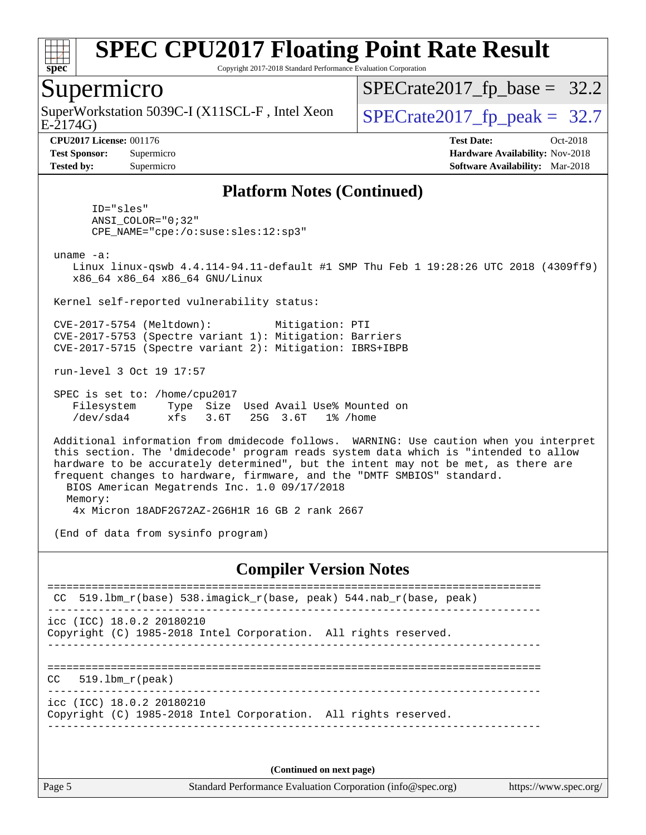

Copyright 2017-2018 Standard Performance Evaluation Corporation

#### Supermicro

E-2174G) SuperWorkstation 5039C-I (X11SCL-F, Intel Xeon  $\big|$  [SPECrate2017\\_fp\\_peak =](http://www.spec.org/auto/cpu2017/Docs/result-fields.html#SPECrate2017fppeak) 32.7

 $SPECTate2017_fp\_base = 32.2$ 

**[Tested by:](http://www.spec.org/auto/cpu2017/Docs/result-fields.html#Testedby)** Supermicro **[Software Availability:](http://www.spec.org/auto/cpu2017/Docs/result-fields.html#SoftwareAvailability)** Mar-2018

**[CPU2017 License:](http://www.spec.org/auto/cpu2017/Docs/result-fields.html#CPU2017License)** 001176 **[Test Date:](http://www.spec.org/auto/cpu2017/Docs/result-fields.html#TestDate)** Oct-2018 **[Test Sponsor:](http://www.spec.org/auto/cpu2017/Docs/result-fields.html#TestSponsor)** Supermicro **[Hardware Availability:](http://www.spec.org/auto/cpu2017/Docs/result-fields.html#HardwareAvailability)** Nov-2018

#### **[Platform Notes \(Continued\)](http://www.spec.org/auto/cpu2017/Docs/result-fields.html#PlatformNotes)**

 ID="sles" ANSI\_COLOR="0;32" CPE\_NAME="cpe:/o:suse:sles:12:sp3"

uname -a:

 Linux linux-qswb 4.4.114-94.11-default #1 SMP Thu Feb 1 19:28:26 UTC 2018 (4309ff9) x86\_64 x86\_64 x86\_64 GNU/Linux

Kernel self-reported vulnerability status:

 CVE-2017-5754 (Meltdown): Mitigation: PTI CVE-2017-5753 (Spectre variant 1): Mitigation: Barriers CVE-2017-5715 (Spectre variant 2): Mitigation: IBRS+IBPB

run-level 3 Oct 19 17:57

 SPEC is set to: /home/cpu2017 Filesystem Type Size Used Avail Use% Mounted on /dev/sda4 xfs 3.6T 25G 3.6T 1% /home

 Additional information from dmidecode follows. WARNING: Use caution when you interpret this section. The 'dmidecode' program reads system data which is "intended to allow hardware to be accurately determined", but the intent may not be met, as there are frequent changes to hardware, firmware, and the "DMTF SMBIOS" standard. BIOS American Megatrends Inc. 1.0 09/17/2018

 Memory: 4x Micron 18ADF2G72AZ-2G6H1R 16 GB 2 rank 2667

(End of data from sysinfo program)

#### **[Compiler Version Notes](http://www.spec.org/auto/cpu2017/Docs/result-fields.html#CompilerVersionNotes)**

============================================================================== CC 519.1bm  $r(base)$  538.imagick  $r(base, peak)$  544.nab  $r(base, peak)$ ----------------------------------------------------------------------------- icc (ICC) 18.0.2 20180210 Copyright (C) 1985-2018 Intel Corporation. All rights reserved. ------------------------------------------------------------------------------ ============================================================================== CC 519.lbm\_r(peak) ----------------------------------------------------------------------------- icc (ICC) 18.0.2 20180210 Copyright (C) 1985-2018 Intel Corporation. All rights reserved. ------------------------------------------------------------------------------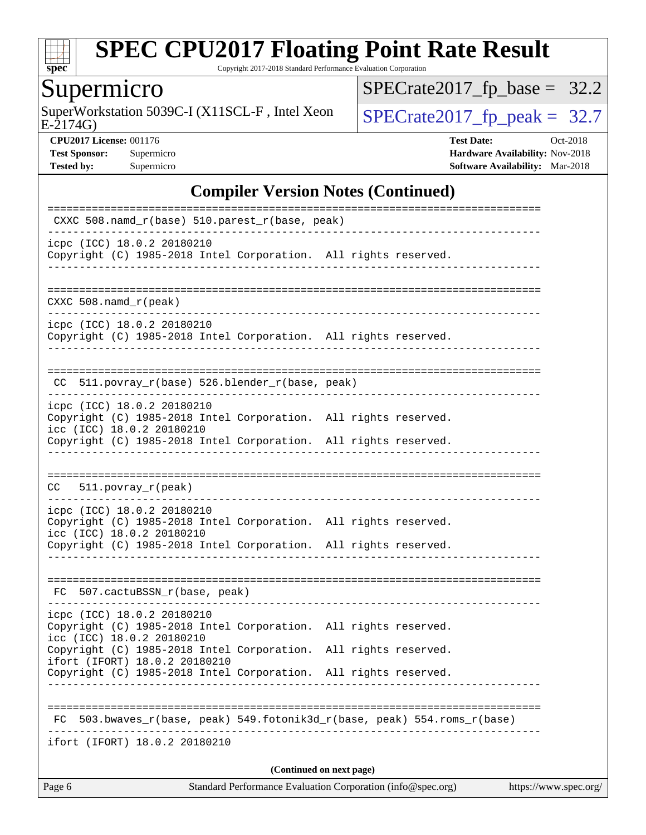

Copyright 2017-2018 Standard Performance Evaluation Corporation

# Supermicro

SuperWorkstation 5039C-I (X11SCL-F, Intel Xeon  $SPECrate2017_fp\_peak = 32.7$ 

[SPECrate2017\\_fp\\_base =](http://www.spec.org/auto/cpu2017/Docs/result-fields.html#SPECrate2017fpbase) 32.2

E-2174G)

**[CPU2017 License:](http://www.spec.org/auto/cpu2017/Docs/result-fields.html#CPU2017License)** 001176 **[Test Date:](http://www.spec.org/auto/cpu2017/Docs/result-fields.html#TestDate)** Oct-2018 **[Test Sponsor:](http://www.spec.org/auto/cpu2017/Docs/result-fields.html#TestSponsor)** Supermicro **[Hardware Availability:](http://www.spec.org/auto/cpu2017/Docs/result-fields.html#HardwareAvailability)** Nov-2018 **[Tested by:](http://www.spec.org/auto/cpu2017/Docs/result-fields.html#Testedby)** Supermicro **Supermicro [Software Availability:](http://www.spec.org/auto/cpu2017/Docs/result-fields.html#SoftwareAvailability)** Mar-2018

#### **[Compiler Version Notes \(Continued\)](http://www.spec.org/auto/cpu2017/Docs/result-fields.html#CompilerVersionNotes)**

| icpc (ICC) 18.0.2 20180210<br>Copyright (C) 1985-2018 Intel Corporation. All rights reserved.<br>$CXXC 508.namd_r (peak)$<br>icpc (ICC) 18.0.2 20180210<br>Copyright (C) 1985-2018 Intel Corporation. All rights reserved.<br>CC 511.povray_r(base) 526.blender_r(base, peak)<br>------------------------------<br>icpc (ICC) 18.0.2 20180210<br>Copyright (C) 1985-2018 Intel Corporation. All rights reserved.<br>icc (ICC) 18.0.2 20180210<br>Copyright (C) 1985-2018 Intel Corporation. All rights reserved.<br>$CC = 511. povray_r (peak)$<br>icpc (ICC) 18.0.2 20180210<br>Copyright (C) 1985-2018 Intel Corporation. All rights reserved.<br>icc (ICC) 18.0.2 20180210<br>Copyright (C) 1985-2018 Intel Corporation. All rights reserved.<br>_________________________________<br>FC 507.cactuBSSN_r(base, peak)<br>icpc (ICC) 18.0.2 20180210<br>Copyright (C) 1985-2018 Intel Corporation. All rights reserved.<br>icc (ICC) 18.0.2 20180210<br>Copyright (C) 1985-2018 Intel Corporation. All rights reserved.<br>ifort (IFORT) 18.0.2 20180210<br>Copyright (C) 1985-2018 Intel Corporation. All rights reserved.<br>FC 503.bwaves_r(base, peak) 549.fotonik3d_r(base, peak) 554.roms_r(base)<br>ifort (IFORT) 18.0.2 20180210<br>(Continued on next page) | CXXC 508.namd_r(base) 510.parest_r(base, peak)                                                 |  |
|-----------------------------------------------------------------------------------------------------------------------------------------------------------------------------------------------------------------------------------------------------------------------------------------------------------------------------------------------------------------------------------------------------------------------------------------------------------------------------------------------------------------------------------------------------------------------------------------------------------------------------------------------------------------------------------------------------------------------------------------------------------------------------------------------------------------------------------------------------------------------------------------------------------------------------------------------------------------------------------------------------------------------------------------------------------------------------------------------------------------------------------------------------------------------------------------------------------------------------------------------------------------------|------------------------------------------------------------------------------------------------|--|
|                                                                                                                                                                                                                                                                                                                                                                                                                                                                                                                                                                                                                                                                                                                                                                                                                                                                                                                                                                                                                                                                                                                                                                                                                                                                       |                                                                                                |  |
|                                                                                                                                                                                                                                                                                                                                                                                                                                                                                                                                                                                                                                                                                                                                                                                                                                                                                                                                                                                                                                                                                                                                                                                                                                                                       |                                                                                                |  |
|                                                                                                                                                                                                                                                                                                                                                                                                                                                                                                                                                                                                                                                                                                                                                                                                                                                                                                                                                                                                                                                                                                                                                                                                                                                                       |                                                                                                |  |
|                                                                                                                                                                                                                                                                                                                                                                                                                                                                                                                                                                                                                                                                                                                                                                                                                                                                                                                                                                                                                                                                                                                                                                                                                                                                       |                                                                                                |  |
|                                                                                                                                                                                                                                                                                                                                                                                                                                                                                                                                                                                                                                                                                                                                                                                                                                                                                                                                                                                                                                                                                                                                                                                                                                                                       |                                                                                                |  |
|                                                                                                                                                                                                                                                                                                                                                                                                                                                                                                                                                                                                                                                                                                                                                                                                                                                                                                                                                                                                                                                                                                                                                                                                                                                                       |                                                                                                |  |
|                                                                                                                                                                                                                                                                                                                                                                                                                                                                                                                                                                                                                                                                                                                                                                                                                                                                                                                                                                                                                                                                                                                                                                                                                                                                       |                                                                                                |  |
|                                                                                                                                                                                                                                                                                                                                                                                                                                                                                                                                                                                                                                                                                                                                                                                                                                                                                                                                                                                                                                                                                                                                                                                                                                                                       |                                                                                                |  |
|                                                                                                                                                                                                                                                                                                                                                                                                                                                                                                                                                                                                                                                                                                                                                                                                                                                                                                                                                                                                                                                                                                                                                                                                                                                                       |                                                                                                |  |
|                                                                                                                                                                                                                                                                                                                                                                                                                                                                                                                                                                                                                                                                                                                                                                                                                                                                                                                                                                                                                                                                                                                                                                                                                                                                       |                                                                                                |  |
|                                                                                                                                                                                                                                                                                                                                                                                                                                                                                                                                                                                                                                                                                                                                                                                                                                                                                                                                                                                                                                                                                                                                                                                                                                                                       |                                                                                                |  |
|                                                                                                                                                                                                                                                                                                                                                                                                                                                                                                                                                                                                                                                                                                                                                                                                                                                                                                                                                                                                                                                                                                                                                                                                                                                                       |                                                                                                |  |
|                                                                                                                                                                                                                                                                                                                                                                                                                                                                                                                                                                                                                                                                                                                                                                                                                                                                                                                                                                                                                                                                                                                                                                                                                                                                       |                                                                                                |  |
|                                                                                                                                                                                                                                                                                                                                                                                                                                                                                                                                                                                                                                                                                                                                                                                                                                                                                                                                                                                                                                                                                                                                                                                                                                                                       | Page 6<br>Standard Performance Evaluation Corporation (info@spec.org)<br>https://www.spec.org/ |  |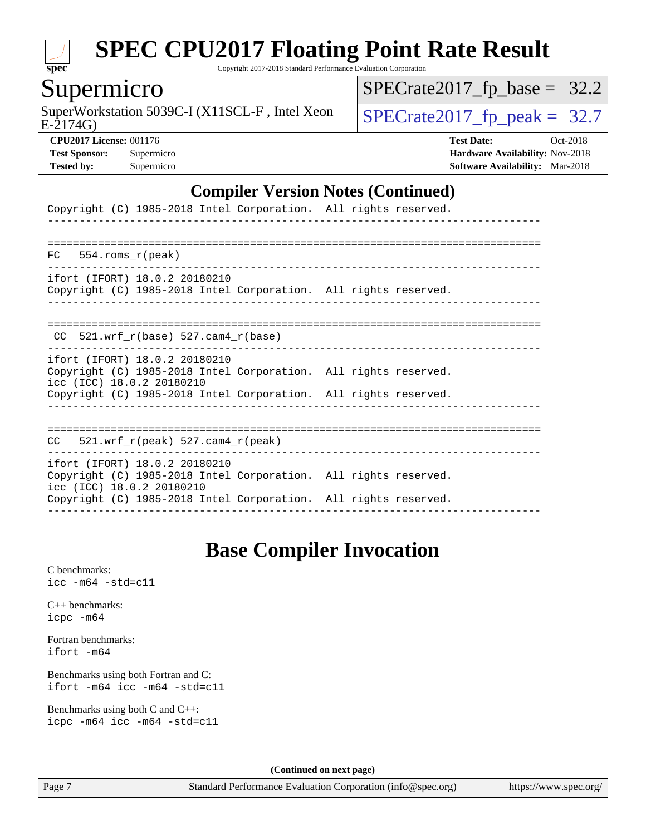

Copyright 2017-2018 Standard Performance Evaluation Corporation

#### Supermicro

SuperWorkstation 5039C-I (X11SCL-F, Intel Xeon  $\big|$  [SPECrate2017\\_fp\\_peak =](http://www.spec.org/auto/cpu2017/Docs/result-fields.html#SPECrate2017fppeak) 32.7

 $SPECrate2017_fp\_base = 32.2$ 

E-2174G)

**[CPU2017 License:](http://www.spec.org/auto/cpu2017/Docs/result-fields.html#CPU2017License)** 001176 **[Test Date:](http://www.spec.org/auto/cpu2017/Docs/result-fields.html#TestDate)** Oct-2018 **[Test Sponsor:](http://www.spec.org/auto/cpu2017/Docs/result-fields.html#TestSponsor)** Supermicro **[Hardware Availability:](http://www.spec.org/auto/cpu2017/Docs/result-fields.html#HardwareAvailability)** Nov-2018 **[Tested by:](http://www.spec.org/auto/cpu2017/Docs/result-fields.html#Testedby)** Supermicro **[Software Availability:](http://www.spec.org/auto/cpu2017/Docs/result-fields.html#SoftwareAvailability)** Mar-2018

#### **[Compiler Version Notes \(Continued\)](http://www.spec.org/auto/cpu2017/Docs/result-fields.html#CompilerVersionNotes)**

| Copyright (C) 1985-2018 Intel Corporation. All rights reserved.                                                                                                                                  |  |
|--------------------------------------------------------------------------------------------------------------------------------------------------------------------------------------------------|--|
| $FC$ 554. roms $r$ (peak)                                                                                                                                                                        |  |
| ifort (IFORT) 18.0.2 20180210<br>Copyright (C) 1985-2018 Intel Corporation. All rights reserved.                                                                                                 |  |
| $CC$ 521.wrf_r(base) 527.cam4_r(base)                                                                                                                                                            |  |
| ifort (IFORT) 18.0.2 20180210<br>Copyright (C) 1985-2018 Intel Corporation. All rights reserved.<br>icc (ICC) 18.0.2 20180210<br>Copyright (C) 1985-2018 Intel Corporation. All rights reserved. |  |
| $CC = 521$ .wrf $r(\text{peak})$ 527.cam4 $r(\text{peak})$                                                                                                                                       |  |
| ifort (IFORT) 18.0.2 20180210<br>Copyright (C) 1985-2018 Intel Corporation. All rights reserved.<br>icc (ICC) 18.0.2 20180210<br>Copyright (C) 1985-2018 Intel Corporation. All rights reserved. |  |

### **[Base Compiler Invocation](http://www.spec.org/auto/cpu2017/Docs/result-fields.html#BaseCompilerInvocation)**

[C benchmarks](http://www.spec.org/auto/cpu2017/Docs/result-fields.html#Cbenchmarks): [icc -m64 -std=c11](http://www.spec.org/cpu2017/results/res2018q4/cpu2017-20181112-09673.flags.html#user_CCbase_intel_icc_64bit_c11_33ee0cdaae7deeeab2a9725423ba97205ce30f63b9926c2519791662299b76a0318f32ddfffdc46587804de3178b4f9328c46fa7c2b0cd779d7a61945c91cd35)

[C++ benchmarks:](http://www.spec.org/auto/cpu2017/Docs/result-fields.html#CXXbenchmarks) [icpc -m64](http://www.spec.org/cpu2017/results/res2018q4/cpu2017-20181112-09673.flags.html#user_CXXbase_intel_icpc_64bit_4ecb2543ae3f1412ef961e0650ca070fec7b7afdcd6ed48761b84423119d1bf6bdf5cad15b44d48e7256388bc77273b966e5eb805aefd121eb22e9299b2ec9d9)

[Fortran benchmarks](http://www.spec.org/auto/cpu2017/Docs/result-fields.html#Fortranbenchmarks): [ifort -m64](http://www.spec.org/cpu2017/results/res2018q4/cpu2017-20181112-09673.flags.html#user_FCbase_intel_ifort_64bit_24f2bb282fbaeffd6157abe4f878425411749daecae9a33200eee2bee2fe76f3b89351d69a8130dd5949958ce389cf37ff59a95e7a40d588e8d3a57e0c3fd751)

[Benchmarks using both Fortran and C](http://www.spec.org/auto/cpu2017/Docs/result-fields.html#BenchmarksusingbothFortranandC): [ifort -m64](http://www.spec.org/cpu2017/results/res2018q4/cpu2017-20181112-09673.flags.html#user_CC_FCbase_intel_ifort_64bit_24f2bb282fbaeffd6157abe4f878425411749daecae9a33200eee2bee2fe76f3b89351d69a8130dd5949958ce389cf37ff59a95e7a40d588e8d3a57e0c3fd751) [icc -m64 -std=c11](http://www.spec.org/cpu2017/results/res2018q4/cpu2017-20181112-09673.flags.html#user_CC_FCbase_intel_icc_64bit_c11_33ee0cdaae7deeeab2a9725423ba97205ce30f63b9926c2519791662299b76a0318f32ddfffdc46587804de3178b4f9328c46fa7c2b0cd779d7a61945c91cd35)

[Benchmarks using both C and C++](http://www.spec.org/auto/cpu2017/Docs/result-fields.html#BenchmarksusingbothCandCXX): [icpc -m64](http://www.spec.org/cpu2017/results/res2018q4/cpu2017-20181112-09673.flags.html#user_CC_CXXbase_intel_icpc_64bit_4ecb2543ae3f1412ef961e0650ca070fec7b7afdcd6ed48761b84423119d1bf6bdf5cad15b44d48e7256388bc77273b966e5eb805aefd121eb22e9299b2ec9d9) [icc -m64 -std=c11](http://www.spec.org/cpu2017/results/res2018q4/cpu2017-20181112-09673.flags.html#user_CC_CXXbase_intel_icc_64bit_c11_33ee0cdaae7deeeab2a9725423ba97205ce30f63b9926c2519791662299b76a0318f32ddfffdc46587804de3178b4f9328c46fa7c2b0cd779d7a61945c91cd35)

**(Continued on next page)**

Page 7 Standard Performance Evaluation Corporation [\(info@spec.org\)](mailto:info@spec.org) <https://www.spec.org/>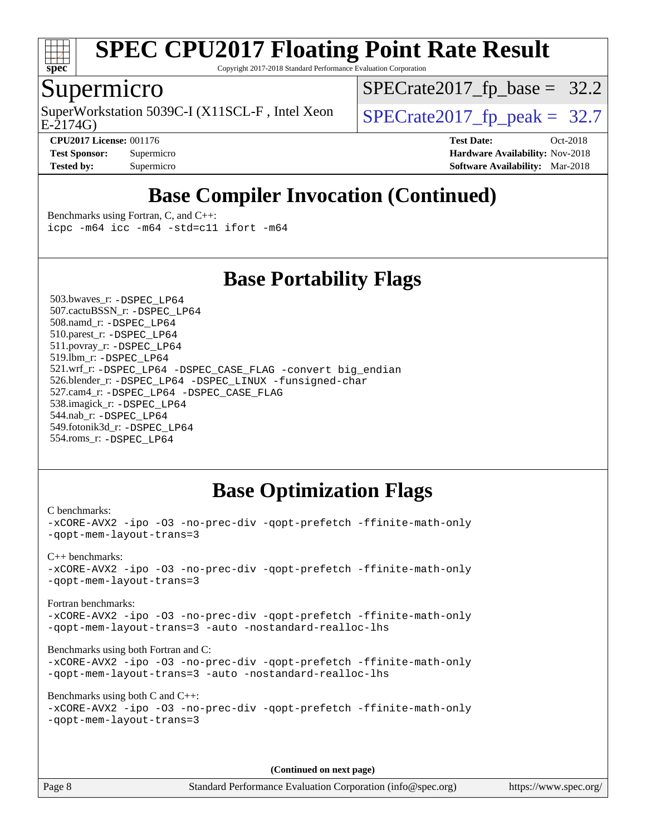

Copyright 2017-2018 Standard Performance Evaluation Corporation

### Supermicro

SuperWorkstation 5039C-I (X11SCL-F, Intel Xeon  $\big|$  [SPECrate2017\\_fp\\_peak =](http://www.spec.org/auto/cpu2017/Docs/result-fields.html#SPECrate2017fppeak) 32.7

 $SPECrate2017_fp\_base = 32.2$ 

E-2174G)

**[CPU2017 License:](http://www.spec.org/auto/cpu2017/Docs/result-fields.html#CPU2017License)** 001176 **[Test Date:](http://www.spec.org/auto/cpu2017/Docs/result-fields.html#TestDate)** Oct-2018 **[Test Sponsor:](http://www.spec.org/auto/cpu2017/Docs/result-fields.html#TestSponsor)** Supermicro **[Hardware Availability:](http://www.spec.org/auto/cpu2017/Docs/result-fields.html#HardwareAvailability)** Nov-2018 **[Tested by:](http://www.spec.org/auto/cpu2017/Docs/result-fields.html#Testedby)** Supermicro **[Software Availability:](http://www.spec.org/auto/cpu2017/Docs/result-fields.html#SoftwareAvailability)** Mar-2018

### **[Base Compiler Invocation \(Continued\)](http://www.spec.org/auto/cpu2017/Docs/result-fields.html#BaseCompilerInvocation)**

[Benchmarks using Fortran, C, and C++:](http://www.spec.org/auto/cpu2017/Docs/result-fields.html#BenchmarksusingFortranCandCXX) [icpc -m64](http://www.spec.org/cpu2017/results/res2018q4/cpu2017-20181112-09673.flags.html#user_CC_CXX_FCbase_intel_icpc_64bit_4ecb2543ae3f1412ef961e0650ca070fec7b7afdcd6ed48761b84423119d1bf6bdf5cad15b44d48e7256388bc77273b966e5eb805aefd121eb22e9299b2ec9d9) [icc -m64 -std=c11](http://www.spec.org/cpu2017/results/res2018q4/cpu2017-20181112-09673.flags.html#user_CC_CXX_FCbase_intel_icc_64bit_c11_33ee0cdaae7deeeab2a9725423ba97205ce30f63b9926c2519791662299b76a0318f32ddfffdc46587804de3178b4f9328c46fa7c2b0cd779d7a61945c91cd35) [ifort -m64](http://www.spec.org/cpu2017/results/res2018q4/cpu2017-20181112-09673.flags.html#user_CC_CXX_FCbase_intel_ifort_64bit_24f2bb282fbaeffd6157abe4f878425411749daecae9a33200eee2bee2fe76f3b89351d69a8130dd5949958ce389cf37ff59a95e7a40d588e8d3a57e0c3fd751)

#### **[Base Portability Flags](http://www.spec.org/auto/cpu2017/Docs/result-fields.html#BasePortabilityFlags)**

 503.bwaves\_r: [-DSPEC\\_LP64](http://www.spec.org/cpu2017/results/res2018q4/cpu2017-20181112-09673.flags.html#suite_basePORTABILITY503_bwaves_r_DSPEC_LP64) 507.cactuBSSN\_r: [-DSPEC\\_LP64](http://www.spec.org/cpu2017/results/res2018q4/cpu2017-20181112-09673.flags.html#suite_basePORTABILITY507_cactuBSSN_r_DSPEC_LP64) 508.namd\_r: [-DSPEC\\_LP64](http://www.spec.org/cpu2017/results/res2018q4/cpu2017-20181112-09673.flags.html#suite_basePORTABILITY508_namd_r_DSPEC_LP64) 510.parest\_r: [-DSPEC\\_LP64](http://www.spec.org/cpu2017/results/res2018q4/cpu2017-20181112-09673.flags.html#suite_basePORTABILITY510_parest_r_DSPEC_LP64) 511.povray\_r: [-DSPEC\\_LP64](http://www.spec.org/cpu2017/results/res2018q4/cpu2017-20181112-09673.flags.html#suite_basePORTABILITY511_povray_r_DSPEC_LP64) 519.lbm\_r: [-DSPEC\\_LP64](http://www.spec.org/cpu2017/results/res2018q4/cpu2017-20181112-09673.flags.html#suite_basePORTABILITY519_lbm_r_DSPEC_LP64) 521.wrf\_r: [-DSPEC\\_LP64](http://www.spec.org/cpu2017/results/res2018q4/cpu2017-20181112-09673.flags.html#suite_basePORTABILITY521_wrf_r_DSPEC_LP64) [-DSPEC\\_CASE\\_FLAG](http://www.spec.org/cpu2017/results/res2018q4/cpu2017-20181112-09673.flags.html#b521.wrf_r_baseCPORTABILITY_DSPEC_CASE_FLAG) [-convert big\\_endian](http://www.spec.org/cpu2017/results/res2018q4/cpu2017-20181112-09673.flags.html#user_baseFPORTABILITY521_wrf_r_convert_big_endian_c3194028bc08c63ac5d04de18c48ce6d347e4e562e8892b8bdbdc0214820426deb8554edfa529a3fb25a586e65a3d812c835984020483e7e73212c4d31a38223) 526.blender\_r: [-DSPEC\\_LP64](http://www.spec.org/cpu2017/results/res2018q4/cpu2017-20181112-09673.flags.html#suite_basePORTABILITY526_blender_r_DSPEC_LP64) [-DSPEC\\_LINUX](http://www.spec.org/cpu2017/results/res2018q4/cpu2017-20181112-09673.flags.html#b526.blender_r_baseCPORTABILITY_DSPEC_LINUX) [-funsigned-char](http://www.spec.org/cpu2017/results/res2018q4/cpu2017-20181112-09673.flags.html#user_baseCPORTABILITY526_blender_r_force_uchar_40c60f00ab013830e2dd6774aeded3ff59883ba5a1fc5fc14077f794d777847726e2a5858cbc7672e36e1b067e7e5c1d9a74f7176df07886a243d7cc18edfe67) 527.cam4\_r: [-DSPEC\\_LP64](http://www.spec.org/cpu2017/results/res2018q4/cpu2017-20181112-09673.flags.html#suite_basePORTABILITY527_cam4_r_DSPEC_LP64) [-DSPEC\\_CASE\\_FLAG](http://www.spec.org/cpu2017/results/res2018q4/cpu2017-20181112-09673.flags.html#b527.cam4_r_baseCPORTABILITY_DSPEC_CASE_FLAG) 538.imagick\_r: [-DSPEC\\_LP64](http://www.spec.org/cpu2017/results/res2018q4/cpu2017-20181112-09673.flags.html#suite_basePORTABILITY538_imagick_r_DSPEC_LP64) 544.nab\_r: [-DSPEC\\_LP64](http://www.spec.org/cpu2017/results/res2018q4/cpu2017-20181112-09673.flags.html#suite_basePORTABILITY544_nab_r_DSPEC_LP64) 549.fotonik3d\_r: [-DSPEC\\_LP64](http://www.spec.org/cpu2017/results/res2018q4/cpu2017-20181112-09673.flags.html#suite_basePORTABILITY549_fotonik3d_r_DSPEC_LP64) 554.roms\_r: [-DSPEC\\_LP64](http://www.spec.org/cpu2017/results/res2018q4/cpu2017-20181112-09673.flags.html#suite_basePORTABILITY554_roms_r_DSPEC_LP64)

### **[Base Optimization Flags](http://www.spec.org/auto/cpu2017/Docs/result-fields.html#BaseOptimizationFlags)**

```
C benchmarks: 
-xCORE-AVX2 -ipo -O3 -no-prec-div -qopt-prefetch -ffinite-math-only
-qopt-mem-layout-trans=3
C++ benchmarks: 
-xCORE-AVX2 -ipo -O3 -no-prec-div -qopt-prefetch -ffinite-math-only
-qopt-mem-layout-trans=3
Fortran benchmarks: 
-xCORE-AVX2 -ipo -O3 -no-prec-div -qopt-prefetch -ffinite-math-only
-qopt-mem-layout-trans=3 -auto -nostandard-realloc-lhs
Benchmarks using both Fortran and C: 
-xCORE-AVX2 -ipo -O3 -no-prec-div -qopt-prefetch -ffinite-math-only
-qopt-mem-layout-trans=3 -auto -nostandard-realloc-lhs
Benchmarks using both C and C++: 
-xCORE-AVX2 -ipo -O3 -no-prec-div -qopt-prefetch -ffinite-math-only
-qopt-mem-layout-trans=3
```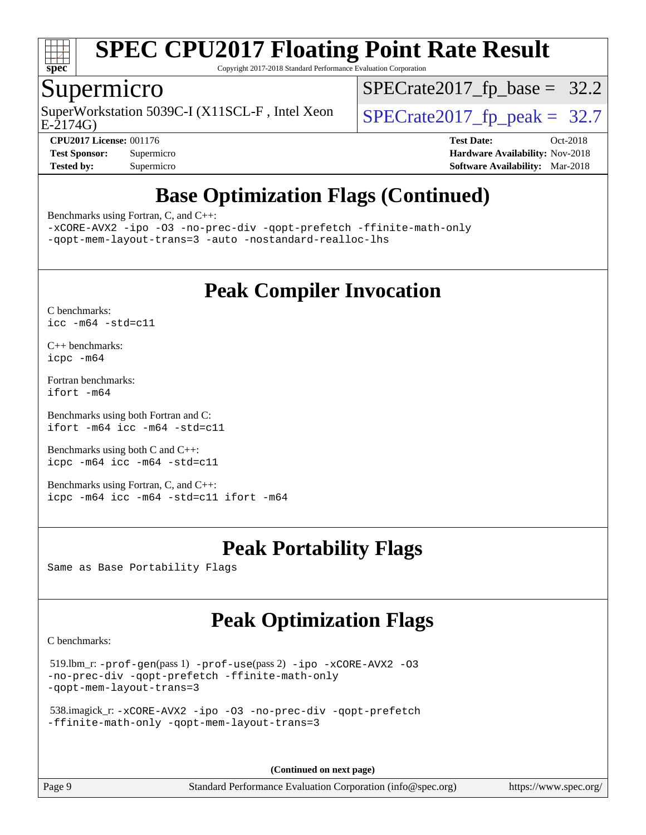

Copyright 2017-2018 Standard Performance Evaluation Corporation

### Supermicro

E-2174G) SuperWorkstation 5039C-I (X11SCL-F, Intel Xeon  $\big|$  [SPECrate2017\\_fp\\_peak =](http://www.spec.org/auto/cpu2017/Docs/result-fields.html#SPECrate2017fppeak) 32.7

[SPECrate2017\\_fp\\_base =](http://www.spec.org/auto/cpu2017/Docs/result-fields.html#SPECrate2017fpbase) 32.2

**[CPU2017 License:](http://www.spec.org/auto/cpu2017/Docs/result-fields.html#CPU2017License)** 001176 **[Test Date:](http://www.spec.org/auto/cpu2017/Docs/result-fields.html#TestDate)** Oct-2018 **[Test Sponsor:](http://www.spec.org/auto/cpu2017/Docs/result-fields.html#TestSponsor)** Supermicro **[Hardware Availability:](http://www.spec.org/auto/cpu2017/Docs/result-fields.html#HardwareAvailability)** Nov-2018 **[Tested by:](http://www.spec.org/auto/cpu2017/Docs/result-fields.html#Testedby)** Supermicro **[Software Availability:](http://www.spec.org/auto/cpu2017/Docs/result-fields.html#SoftwareAvailability)** Mar-2018

### **[Base Optimization Flags \(Continued\)](http://www.spec.org/auto/cpu2017/Docs/result-fields.html#BaseOptimizationFlags)**

[Benchmarks using Fortran, C, and C++:](http://www.spec.org/auto/cpu2017/Docs/result-fields.html#BenchmarksusingFortranCandCXX)

[-xCORE-AVX2](http://www.spec.org/cpu2017/results/res2018q4/cpu2017-20181112-09673.flags.html#user_CC_CXX_FCbase_f-xCORE-AVX2) [-ipo](http://www.spec.org/cpu2017/results/res2018q4/cpu2017-20181112-09673.flags.html#user_CC_CXX_FCbase_f-ipo) [-O3](http://www.spec.org/cpu2017/results/res2018q4/cpu2017-20181112-09673.flags.html#user_CC_CXX_FCbase_f-O3) [-no-prec-div](http://www.spec.org/cpu2017/results/res2018q4/cpu2017-20181112-09673.flags.html#user_CC_CXX_FCbase_f-no-prec-div) [-qopt-prefetch](http://www.spec.org/cpu2017/results/res2018q4/cpu2017-20181112-09673.flags.html#user_CC_CXX_FCbase_f-qopt-prefetch) [-ffinite-math-only](http://www.spec.org/cpu2017/results/res2018q4/cpu2017-20181112-09673.flags.html#user_CC_CXX_FCbase_f_finite_math_only_cb91587bd2077682c4b38af759c288ed7c732db004271a9512da14a4f8007909a5f1427ecbf1a0fb78ff2a814402c6114ac565ca162485bbcae155b5e4258871) [-qopt-mem-layout-trans=3](http://www.spec.org/cpu2017/results/res2018q4/cpu2017-20181112-09673.flags.html#user_CC_CXX_FCbase_f-qopt-mem-layout-trans_de80db37974c74b1f0e20d883f0b675c88c3b01e9d123adea9b28688d64333345fb62bc4a798493513fdb68f60282f9a726aa07f478b2f7113531aecce732043) [-auto](http://www.spec.org/cpu2017/results/res2018q4/cpu2017-20181112-09673.flags.html#user_CC_CXX_FCbase_f-auto) [-nostandard-realloc-lhs](http://www.spec.org/cpu2017/results/res2018q4/cpu2017-20181112-09673.flags.html#user_CC_CXX_FCbase_f_2003_std_realloc_82b4557e90729c0f113870c07e44d33d6f5a304b4f63d4c15d2d0f1fab99f5daaed73bdb9275d9ae411527f28b936061aa8b9c8f2d63842963b95c9dd6426b8a)

### **[Peak Compiler Invocation](http://www.spec.org/auto/cpu2017/Docs/result-fields.html#PeakCompilerInvocation)**

[C benchmarks](http://www.spec.org/auto/cpu2017/Docs/result-fields.html#Cbenchmarks): [icc -m64 -std=c11](http://www.spec.org/cpu2017/results/res2018q4/cpu2017-20181112-09673.flags.html#user_CCpeak_intel_icc_64bit_c11_33ee0cdaae7deeeab2a9725423ba97205ce30f63b9926c2519791662299b76a0318f32ddfffdc46587804de3178b4f9328c46fa7c2b0cd779d7a61945c91cd35)

[C++ benchmarks:](http://www.spec.org/auto/cpu2017/Docs/result-fields.html#CXXbenchmarks) [icpc -m64](http://www.spec.org/cpu2017/results/res2018q4/cpu2017-20181112-09673.flags.html#user_CXXpeak_intel_icpc_64bit_4ecb2543ae3f1412ef961e0650ca070fec7b7afdcd6ed48761b84423119d1bf6bdf5cad15b44d48e7256388bc77273b966e5eb805aefd121eb22e9299b2ec9d9)

[Fortran benchmarks](http://www.spec.org/auto/cpu2017/Docs/result-fields.html#Fortranbenchmarks): [ifort -m64](http://www.spec.org/cpu2017/results/res2018q4/cpu2017-20181112-09673.flags.html#user_FCpeak_intel_ifort_64bit_24f2bb282fbaeffd6157abe4f878425411749daecae9a33200eee2bee2fe76f3b89351d69a8130dd5949958ce389cf37ff59a95e7a40d588e8d3a57e0c3fd751)

[Benchmarks using both Fortran and C](http://www.spec.org/auto/cpu2017/Docs/result-fields.html#BenchmarksusingbothFortranandC): [ifort -m64](http://www.spec.org/cpu2017/results/res2018q4/cpu2017-20181112-09673.flags.html#user_CC_FCpeak_intel_ifort_64bit_24f2bb282fbaeffd6157abe4f878425411749daecae9a33200eee2bee2fe76f3b89351d69a8130dd5949958ce389cf37ff59a95e7a40d588e8d3a57e0c3fd751) [icc -m64 -std=c11](http://www.spec.org/cpu2017/results/res2018q4/cpu2017-20181112-09673.flags.html#user_CC_FCpeak_intel_icc_64bit_c11_33ee0cdaae7deeeab2a9725423ba97205ce30f63b9926c2519791662299b76a0318f32ddfffdc46587804de3178b4f9328c46fa7c2b0cd779d7a61945c91cd35)

[Benchmarks using both C and C++](http://www.spec.org/auto/cpu2017/Docs/result-fields.html#BenchmarksusingbothCandCXX): [icpc -m64](http://www.spec.org/cpu2017/results/res2018q4/cpu2017-20181112-09673.flags.html#user_CC_CXXpeak_intel_icpc_64bit_4ecb2543ae3f1412ef961e0650ca070fec7b7afdcd6ed48761b84423119d1bf6bdf5cad15b44d48e7256388bc77273b966e5eb805aefd121eb22e9299b2ec9d9) [icc -m64 -std=c11](http://www.spec.org/cpu2017/results/res2018q4/cpu2017-20181112-09673.flags.html#user_CC_CXXpeak_intel_icc_64bit_c11_33ee0cdaae7deeeab2a9725423ba97205ce30f63b9926c2519791662299b76a0318f32ddfffdc46587804de3178b4f9328c46fa7c2b0cd779d7a61945c91cd35)

[Benchmarks using Fortran, C, and C++:](http://www.spec.org/auto/cpu2017/Docs/result-fields.html#BenchmarksusingFortranCandCXX) [icpc -m64](http://www.spec.org/cpu2017/results/res2018q4/cpu2017-20181112-09673.flags.html#user_CC_CXX_FCpeak_intel_icpc_64bit_4ecb2543ae3f1412ef961e0650ca070fec7b7afdcd6ed48761b84423119d1bf6bdf5cad15b44d48e7256388bc77273b966e5eb805aefd121eb22e9299b2ec9d9) [icc -m64 -std=c11](http://www.spec.org/cpu2017/results/res2018q4/cpu2017-20181112-09673.flags.html#user_CC_CXX_FCpeak_intel_icc_64bit_c11_33ee0cdaae7deeeab2a9725423ba97205ce30f63b9926c2519791662299b76a0318f32ddfffdc46587804de3178b4f9328c46fa7c2b0cd779d7a61945c91cd35) [ifort -m64](http://www.spec.org/cpu2017/results/res2018q4/cpu2017-20181112-09673.flags.html#user_CC_CXX_FCpeak_intel_ifort_64bit_24f2bb282fbaeffd6157abe4f878425411749daecae9a33200eee2bee2fe76f3b89351d69a8130dd5949958ce389cf37ff59a95e7a40d588e8d3a57e0c3fd751)

### **[Peak Portability Flags](http://www.spec.org/auto/cpu2017/Docs/result-fields.html#PeakPortabilityFlags)**

Same as Base Portability Flags

### **[Peak Optimization Flags](http://www.spec.org/auto/cpu2017/Docs/result-fields.html#PeakOptimizationFlags)**

[C benchmarks](http://www.spec.org/auto/cpu2017/Docs/result-fields.html#Cbenchmarks):

```
 519.lbm_r: -prof-gen(pass 1) -prof-use(pass 2) -ipo -xCORE-AVX2 -O3
-no-prec-div -qopt-prefetch -ffinite-math-only
-qopt-mem-layout-trans=3
```

```
 538.imagick_r: -xCORE-AVX2 -ipo -O3 -no-prec-div -qopt-prefetch
-ffinite-math-only -qopt-mem-layout-trans=3
```
**(Continued on next page)**

Page 9 Standard Performance Evaluation Corporation [\(info@spec.org\)](mailto:info@spec.org) <https://www.spec.org/>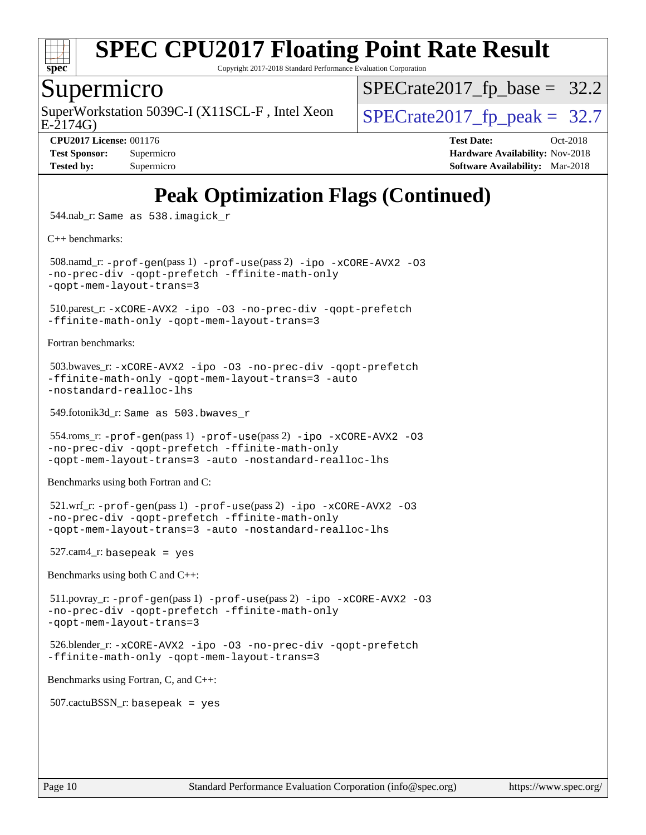

Copyright 2017-2018 Standard Performance Evaluation Corporation

#### Supermicro

SuperWorkstation 5039C-I (X11SCL-F, Intel Xeon  $\big|$  [SPECrate2017\\_fp\\_peak =](http://www.spec.org/auto/cpu2017/Docs/result-fields.html#SPECrate2017fppeak) 32.7

 $SPECrate2017_fp\_base = 32.2$ 

E-2174G)

**[Tested by:](http://www.spec.org/auto/cpu2017/Docs/result-fields.html#Testedby)** Supermicro **[Software Availability:](http://www.spec.org/auto/cpu2017/Docs/result-fields.html#SoftwareAvailability)** Mar-2018

**[CPU2017 License:](http://www.spec.org/auto/cpu2017/Docs/result-fields.html#CPU2017License)** 001176 **[Test Date:](http://www.spec.org/auto/cpu2017/Docs/result-fields.html#TestDate)** Oct-2018 **[Test Sponsor:](http://www.spec.org/auto/cpu2017/Docs/result-fields.html#TestSponsor)** Supermicro **[Hardware Availability:](http://www.spec.org/auto/cpu2017/Docs/result-fields.html#HardwareAvailability)** Nov-2018

## **[Peak Optimization Flags \(Continued\)](http://www.spec.org/auto/cpu2017/Docs/result-fields.html#PeakOptimizationFlags)**

544.nab\_r: Same as 538.imagick\_r

[C++ benchmarks:](http://www.spec.org/auto/cpu2017/Docs/result-fields.html#CXXbenchmarks)

 508.namd\_r: [-prof-gen](http://www.spec.org/cpu2017/results/res2018q4/cpu2017-20181112-09673.flags.html#user_peakPASS1_CXXFLAGSPASS1_LDFLAGS508_namd_r_prof_gen_5aa4926d6013ddb2a31985c654b3eb18169fc0c6952a63635c234f711e6e63dd76e94ad52365559451ec499a2cdb89e4dc58ba4c67ef54ca681ffbe1461d6b36)(pass 1) [-prof-use](http://www.spec.org/cpu2017/results/res2018q4/cpu2017-20181112-09673.flags.html#user_peakPASS2_CXXFLAGSPASS2_LDFLAGS508_namd_r_prof_use_1a21ceae95f36a2b53c25747139a6c16ca95bd9def2a207b4f0849963b97e94f5260e30a0c64f4bb623698870e679ca08317ef8150905d41bd88c6f78df73f19)(pass 2) [-ipo](http://www.spec.org/cpu2017/results/res2018q4/cpu2017-20181112-09673.flags.html#user_peakPASS1_CXXOPTIMIZEPASS2_CXXOPTIMIZE508_namd_r_f-ipo) [-xCORE-AVX2](http://www.spec.org/cpu2017/results/res2018q4/cpu2017-20181112-09673.flags.html#user_peakPASS2_CXXOPTIMIZE508_namd_r_f-xCORE-AVX2) [-O3](http://www.spec.org/cpu2017/results/res2018q4/cpu2017-20181112-09673.flags.html#user_peakPASS1_CXXOPTIMIZEPASS2_CXXOPTIMIZE508_namd_r_f-O3) [-no-prec-div](http://www.spec.org/cpu2017/results/res2018q4/cpu2017-20181112-09673.flags.html#user_peakPASS1_CXXOPTIMIZEPASS2_CXXOPTIMIZE508_namd_r_f-no-prec-div) [-qopt-prefetch](http://www.spec.org/cpu2017/results/res2018q4/cpu2017-20181112-09673.flags.html#user_peakPASS1_CXXOPTIMIZEPASS2_CXXOPTIMIZE508_namd_r_f-qopt-prefetch) [-ffinite-math-only](http://www.spec.org/cpu2017/results/res2018q4/cpu2017-20181112-09673.flags.html#user_peakPASS1_CXXOPTIMIZEPASS2_CXXOPTIMIZE508_namd_r_f_finite_math_only_cb91587bd2077682c4b38af759c288ed7c732db004271a9512da14a4f8007909a5f1427ecbf1a0fb78ff2a814402c6114ac565ca162485bbcae155b5e4258871) [-qopt-mem-layout-trans=3](http://www.spec.org/cpu2017/results/res2018q4/cpu2017-20181112-09673.flags.html#user_peakPASS1_CXXOPTIMIZEPASS2_CXXOPTIMIZE508_namd_r_f-qopt-mem-layout-trans_de80db37974c74b1f0e20d883f0b675c88c3b01e9d123adea9b28688d64333345fb62bc4a798493513fdb68f60282f9a726aa07f478b2f7113531aecce732043)

 510.parest\_r: [-xCORE-AVX2](http://www.spec.org/cpu2017/results/res2018q4/cpu2017-20181112-09673.flags.html#user_peakCXXOPTIMIZE510_parest_r_f-xCORE-AVX2) [-ipo](http://www.spec.org/cpu2017/results/res2018q4/cpu2017-20181112-09673.flags.html#user_peakCXXOPTIMIZE510_parest_r_f-ipo) [-O3](http://www.spec.org/cpu2017/results/res2018q4/cpu2017-20181112-09673.flags.html#user_peakCXXOPTIMIZE510_parest_r_f-O3) [-no-prec-div](http://www.spec.org/cpu2017/results/res2018q4/cpu2017-20181112-09673.flags.html#user_peakCXXOPTIMIZE510_parest_r_f-no-prec-div) [-qopt-prefetch](http://www.spec.org/cpu2017/results/res2018q4/cpu2017-20181112-09673.flags.html#user_peakCXXOPTIMIZE510_parest_r_f-qopt-prefetch) [-ffinite-math-only](http://www.spec.org/cpu2017/results/res2018q4/cpu2017-20181112-09673.flags.html#user_peakCXXOPTIMIZE510_parest_r_f_finite_math_only_cb91587bd2077682c4b38af759c288ed7c732db004271a9512da14a4f8007909a5f1427ecbf1a0fb78ff2a814402c6114ac565ca162485bbcae155b5e4258871) [-qopt-mem-layout-trans=3](http://www.spec.org/cpu2017/results/res2018q4/cpu2017-20181112-09673.flags.html#user_peakCXXOPTIMIZE510_parest_r_f-qopt-mem-layout-trans_de80db37974c74b1f0e20d883f0b675c88c3b01e9d123adea9b28688d64333345fb62bc4a798493513fdb68f60282f9a726aa07f478b2f7113531aecce732043)

[Fortran benchmarks](http://www.spec.org/auto/cpu2017/Docs/result-fields.html#Fortranbenchmarks):

```
 503.bwaves_r: -xCORE-AVX2 -ipo -O3 -no-prec-div -qopt-prefetch
-ffinite-math-only -qopt-mem-layout-trans=3 -auto
-nostandard-realloc-lhs
```
549.fotonik3d\_r: Same as 503.bwaves\_r

```
 554.roms_r: -prof-gen(pass 1) -prof-use(pass 2) -ipo -xCORE-AVX2 -O3
-no-prec-div -qopt-prefetch -ffinite-math-only
-qopt-mem-layout-trans=3 -auto -nostandard-realloc-lhs
```
[Benchmarks using both Fortran and C](http://www.spec.org/auto/cpu2017/Docs/result-fields.html#BenchmarksusingbothFortranandC):

```
 521.wrf_r: -prof-gen(pass 1) -prof-use(pass 2) -ipo -xCORE-AVX2 -O3
-no-prec-div -qopt-prefetch -ffinite-math-only
-qopt-mem-layout-trans=3 -auto -nostandard-realloc-lhs
```
 $527$ .cam $4$ \_r: basepeak = yes

[Benchmarks using both C and C++](http://www.spec.org/auto/cpu2017/Docs/result-fields.html#BenchmarksusingbothCandCXX):

```
 511.povray_r: -prof-gen(pass 1) -prof-use(pass 2) -ipo -xCORE-AVX2 -O3
-no-prec-div -qopt-prefetch -ffinite-math-only
-qopt-mem-layout-trans=3
```

```
 526.blender_r: -xCORE-AVX2 -ipo -O3 -no-prec-div -qopt-prefetch
-ffinite-math-only -qopt-mem-layout-trans=3
```
[Benchmarks using Fortran, C, and C++:](http://www.spec.org/auto/cpu2017/Docs/result-fields.html#BenchmarksusingFortranCandCXX)

 $507.cactuBSSN_r$ : basepeak = yes